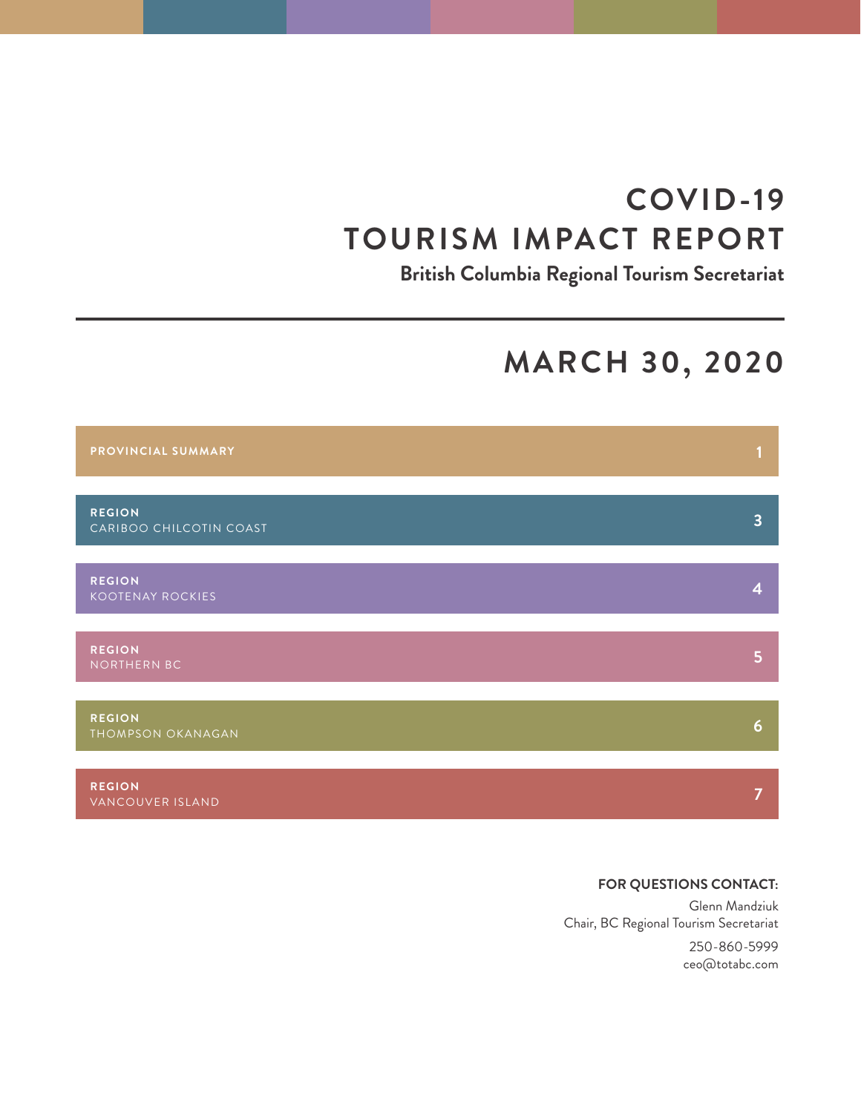# **COVID-19 TOURISM IMPACT REPORT**

**British Columbia Regional Tourism Secretariat**

## **MARCH 30, 2020**



### **FOR QUESTIONS CONTACT:**

Glenn Mandziuk Chair, BC Regional Tourism Secretariat

> 250-860-5999 ceo@totabc.com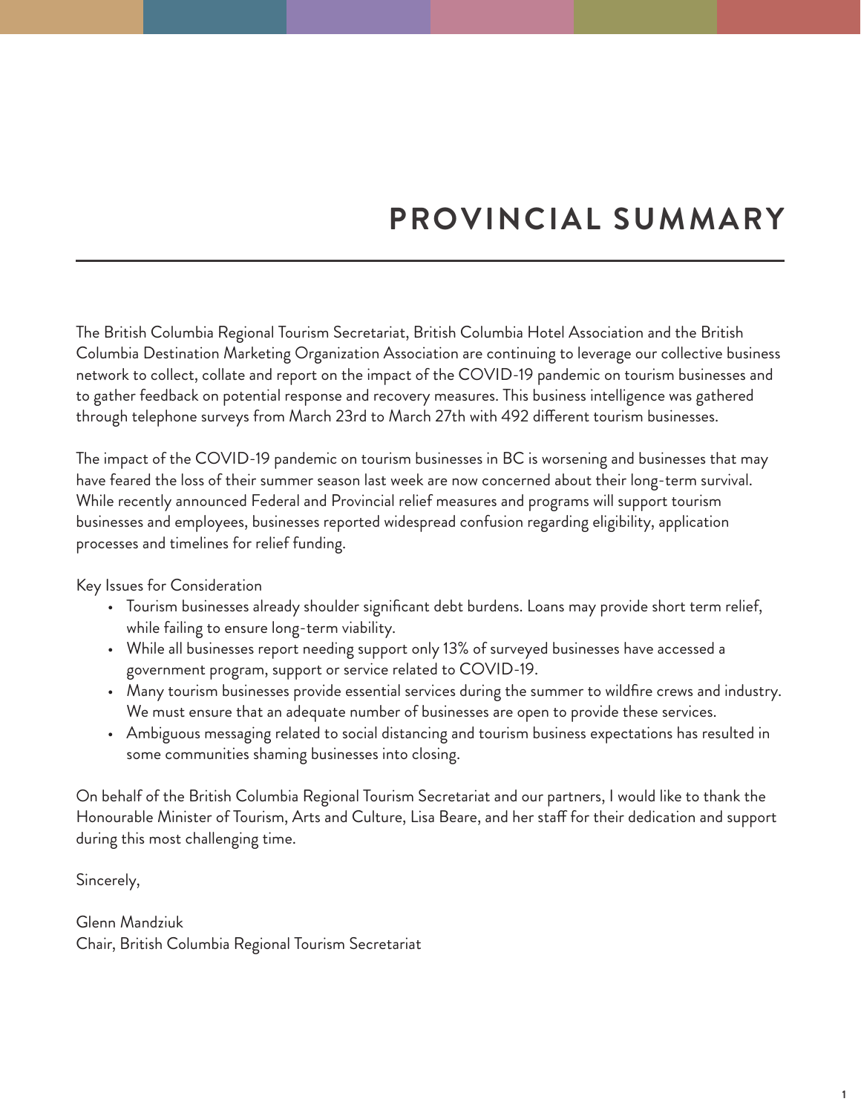# **PROVINCIAL SUMMARY**

The British Columbia Regional Tourism Secretariat, British Columbia Hotel Association and the British Columbia Destination Marketing Organization Association are continuing to leverage our collective business network to collect, collate and report on the impact of the COVID-19 pandemic on tourism businesses and to gather feedback on potential response and recovery measures. This business intelligence was gathered through telephone surveys from March 23rd to March 27th with 492 different tourism businesses.

The impact of the COVID-19 pandemic on tourism businesses in BC is worsening and businesses that may have feared the loss of their summer season last week are now concerned about their long-term survival. While recently announced Federal and Provincial relief measures and programs will support tourism businesses and employees, businesses reported widespread confusion regarding eligibility, application processes and timelines for relief funding.

Key Issues for Consideration

- Tourism businesses already shoulder significant debt burdens. Loans may provide short term relief, while failing to ensure long-term viability.
- While all businesses report needing support only 13% of surveyed businesses have accessed a government program, support or service related to COVID-19.
- Many tourism businesses provide essential services during the summer to wildfire crews and industry. We must ensure that an adequate number of businesses are open to provide these services.
- Ambiguous messaging related to social distancing and tourism business expectations has resulted in some communities shaming businesses into closing.

On behalf of the British Columbia Regional Tourism Secretariat and our partners, I would like to thank the Honourable Minister of Tourism, Arts and Culture, Lisa Beare, and her staff for their dedication and support during this most challenging time.

Sincerely,

Glenn Mandziuk Chair, British Columbia Regional Tourism Secretariat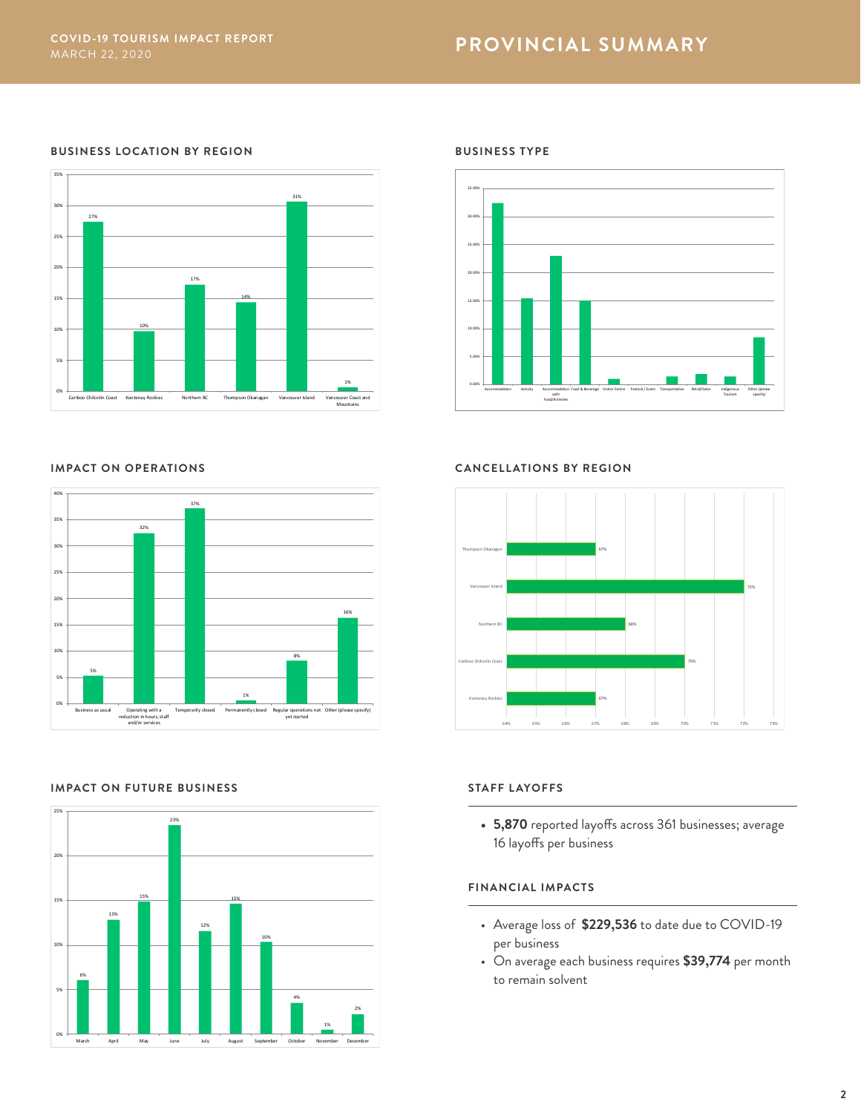#### **BUSINESS LOCATION BY REGION**





#### **IMPACT ON FUTURE BUSINESS**



#### **BUSINESS TYPE**



#### **IMPACT ON OPERATIONS CANCELLATIONS BY REGION**



#### **STAFF LAYOFFS**

**• 5,870** reported layoffs across 361 businesses; average 16 layoffs per business

#### **FINANCIAL IMPACTS**

- Average loss of **\$229,536** to date due to COVID-19 per business
- On average each business requires **\$39,774** per month to remain solvent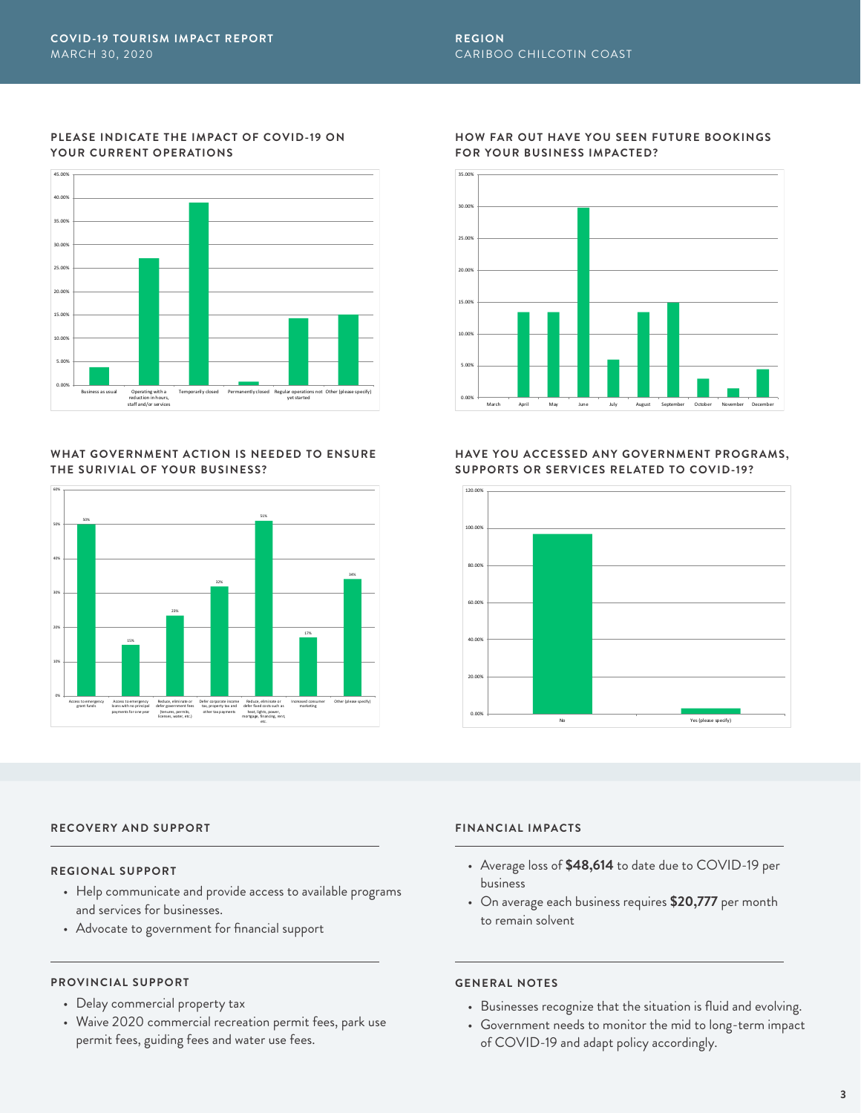

#### **WHAT GOVERNMENT ACTION IS NEEDED TO ENSURE THE SURIVIAL OF YOUR BUSINESS?**



### **HOW FAR OUT HAVE YOU SEEN FUTURE BOOKINGS FOR YOUR BUSINESS IMPACTED?**



#### **HAVE YOU ACCESSED ANY GOVERNMENT PROGRAMS, SUPPORTS OR SERVICES RELATED TO COVID-19?**



#### **RECOVERY AND SUPPORT FINANCIAL IMPACTS**

#### **REGIONAL SUPPORT**

- Help communicate and provide access to available programs and services for businesses.
- Advocate to government for financial support

### **PROVINCIAL SUPPORT**

- Delay commercial property tax
- Waive 2020 commercial recreation permit fees, park use permit fees, guiding fees and water use fees.

- Average loss of **\$48,614** to date due to COVID-19 per business
- On average each business requires **\$20,777** per month to remain solvent

- Businesses recognize that the situation is fluid and evolving.
- Government needs to monitor the mid to long-term impact of COVID-19 and adapt policy accordingly.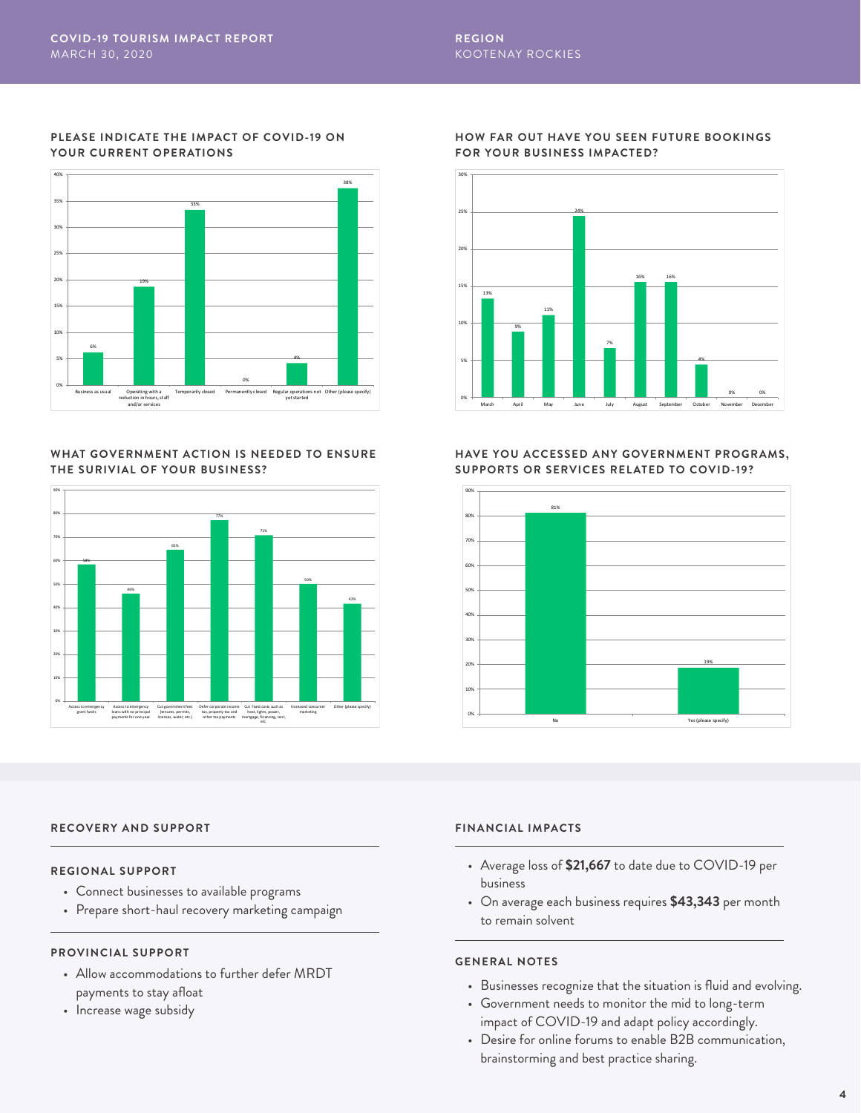

#### **WHAT GOVERNMENT ACTION IS NEEDED TO ENSURE THE SURIVIAL OF YOUR BUSINESS?**



#### **HOW FAR OUT HAVE YOU SEEN FUTURE BOOKINGS FOR YOUR BUSINESS IMPACTED?**



#### **HAVE YOU ACCESSED ANY GOVERNMENT PROGRAMS, SUPPORTS OR SERVICES RELATED TO COVID-19?**



### **RECOVERY AND SUPPORT FINANCIAL IMPACTS**

#### **REGIONAL SUPPORT**

- Connect businesses to available programs
- Prepare short-haul recovery marketing campaign

#### **PROVINCIAL SUPPORT**

- Allow accommodations to further defer MRDT payments to stay afloat
- Increase wage subsidy

- Average loss of **\$21,667** to date due to COVID-19 per business
- On average each business requires **\$43,343** per month to remain solvent

- Businesses recognize that the situation is fluid and evolving.
- Government needs to monitor the mid to long-term impact of COVID-19 and adapt policy accordingly.
- Desire for online forums to enable B2B communication, brainstorming and best practice sharing.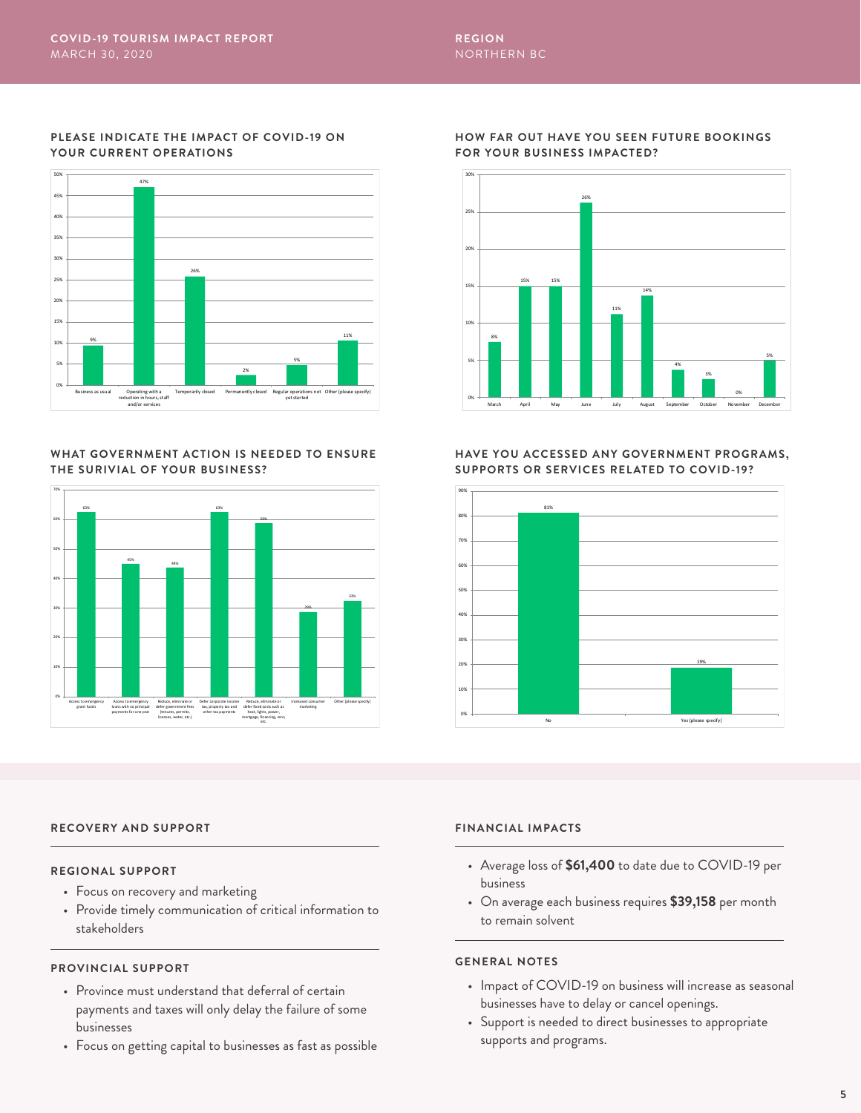

#### **WHAT GOVERNMENT ACTION IS NEEDED TO ENSURE THE SURIVIAL OF YOUR BUSINESS?**



### **HOW FAR OUT HAVE YOU SEEN FUTURE BOOKINGS FOR YOUR BUSINESS IMPACTED?**



#### **HAVE YOU ACCESSED ANY GOVERNMENT PROGRAMS, SUPPORTS OR SERVICES RELATED TO COVID-19?**



### **RECOVERY AND SUPPORT FINANCIAL IMPACTS**

#### **REGIONAL SUPPORT**

- Focus on recovery and marketing
- Provide timely communication of critical information to stakeholders

#### **PROVINCIAL SUPPORT**

- Province must understand that deferral of certain payments and taxes will only delay the failure of some businesses
- Focus on getting capital to businesses as fast as possible

- Average loss of **\$61,400** to date due to COVID-19 per business
- On average each business requires **\$39,158** per month to remain solvent

- Impact of COVID-19 on business will increase as seasonal businesses have to delay or cancel openings.
- Support is needed to direct businesses to appropriate supports and programs.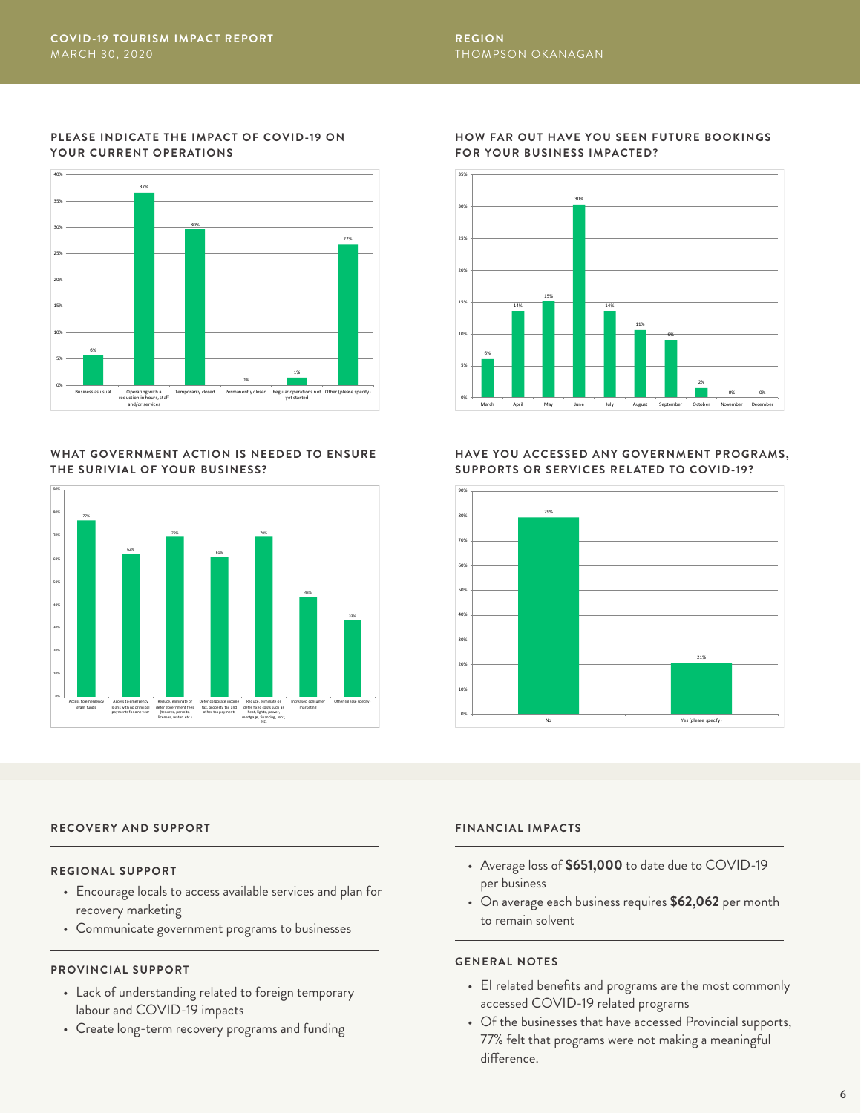

#### **WHAT GOVERNMENT ACTION IS NEEDED TO ENSURE THE SURIVIAL OF YOUR BUSINESS?**



### **HOW FAR OUT HAVE YOU SEEN FUTURE BOOKINGS FOR YOUR BUSINESS IMPACTED?**



#### **HAVE YOU ACCESSED ANY GOVERNMENT PROGRAMS, SUPPORTS OR SERVICES RELATED TO COVID-19?**



### **RECOVERY AND SUPPORT FINANCIAL IMPACTS**

#### **REGIONAL SUPPORT**

- Encourage locals to access available services and plan for recovery marketing
- Communicate government programs to businesses

#### **PROVINCIAL SUPPORT**

- Lack of understanding related to foreign temporary labour and COVID-19 impacts
- Create long-term recovery programs and funding

- Average loss of **\$651,000** to date due to COVID-19 per business
- On average each business requires **\$62,062** per month to remain solvent

- EI related benefits and programs are the most commonly accessed COVID-19 related programs
- Of the businesses that have accessed Provincial supports, 77% felt that programs were not making a meaningful difference.